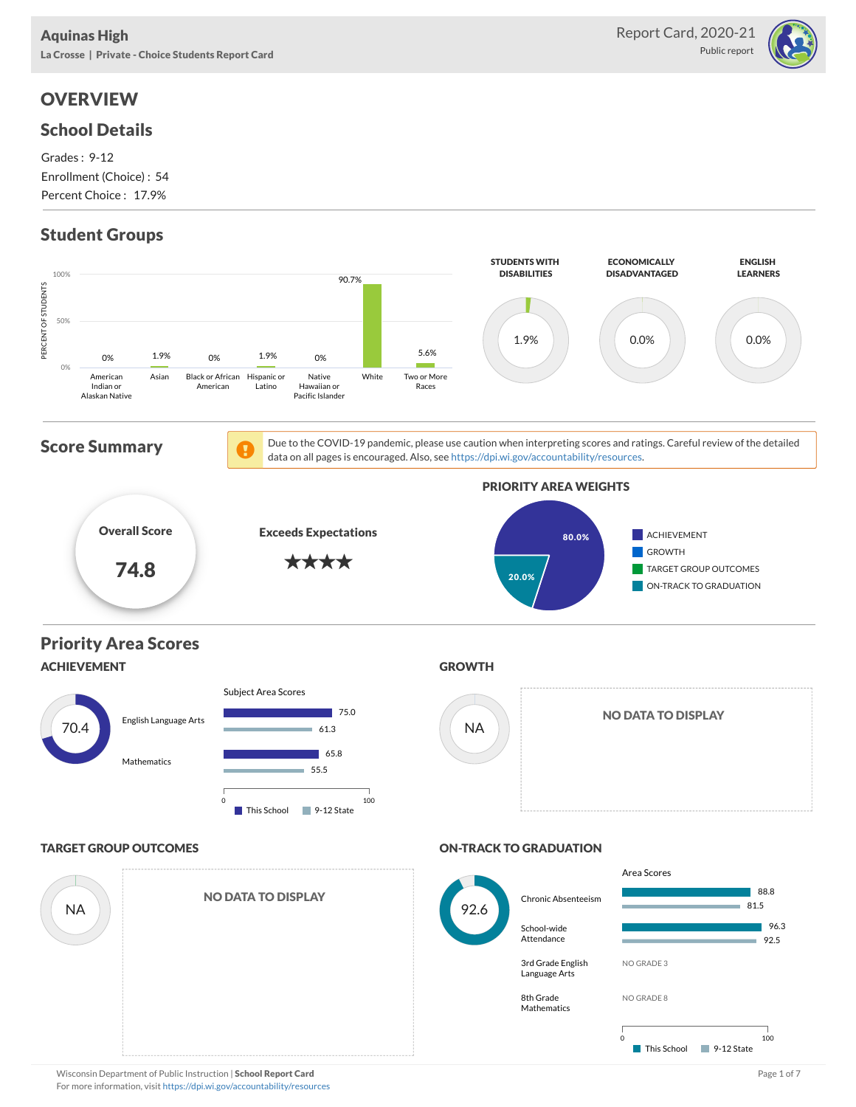

# **OVERVIEW**

## School Details

Grades : 9-12 Enrollment (Choice) : 54 Percent Choice : 17.9%

# Student Groups

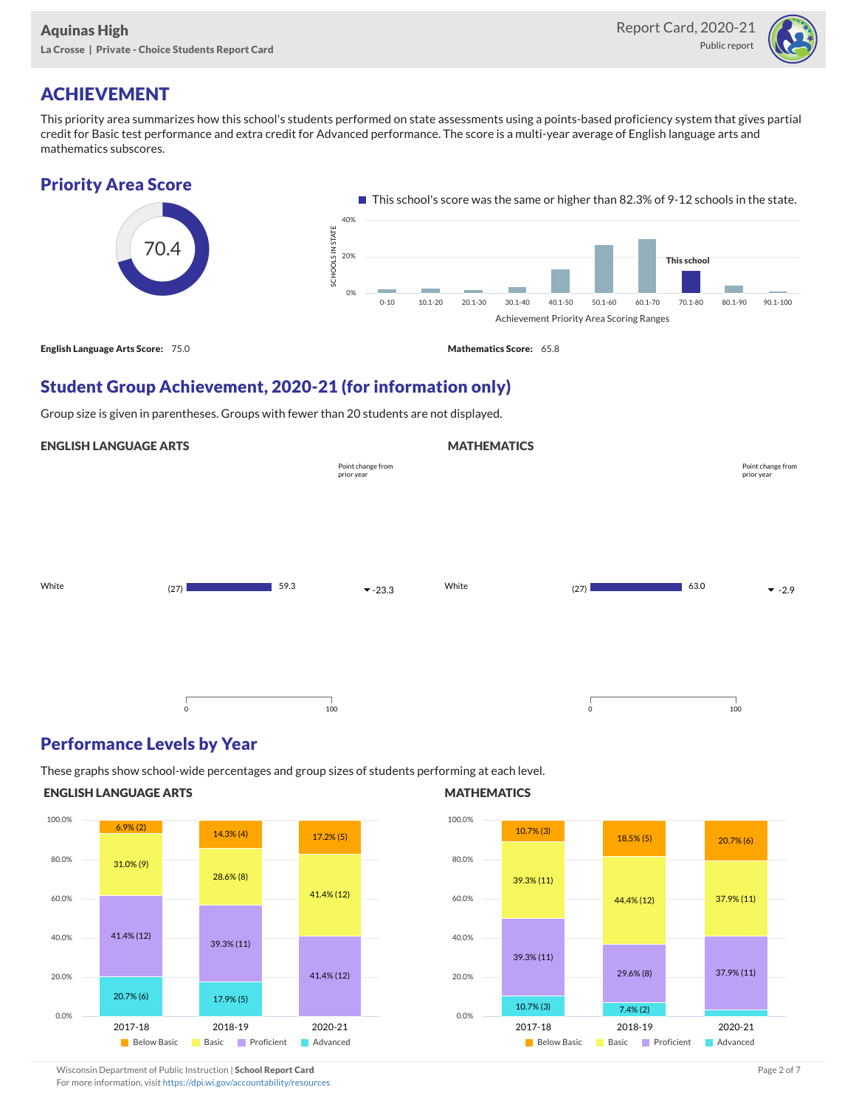

# ACHIEVEMENT

This priority area summarizes how this school's students performed on state assessments using a points-based proficiency system that gives partial credit for Basic test performance and extra credit for Advanced performance. The score is a multi-year average of English language arts and mathematics subscores.



## Student Group Achievement, 2020-21 (for information only)

Group size is given in parentheses. Groups with fewer than 20 students are not displayed.

### ENGLISH LANGUAGE ARTS

|       |         |      |                                 | .     |             |      |                                 |
|-------|---------|------|---------------------------------|-------|-------------|------|---------------------------------|
|       |         |      | Point change from<br>prior year |       |             |      | Point change from<br>prior year |
|       |         |      |                                 |       |             |      |                                 |
|       |         |      |                                 |       |             |      |                                 |
| White | (27)    | 59.3 | $-23.3$                         | White | (27)        | 63.0 | $-2.9$                          |
|       |         |      |                                 |       |             |      |                                 |
|       |         |      |                                 |       |             |      |                                 |
|       | $\circ$ |      | 100                             |       | $\mathsf 0$ |      | 100                             |

### Performance Levels by Year

These graphs show school-wide percentages and group sizes of students performing at each level.

#### ENGLISH LANGUAGE ARTS



#### **MATHEMATICS**

**MATHEMATICS** 



Wisconsin Department of Public Instruction | School Report Card Page 2 of 7 and 2008 and 2009 and 2 of 7 and 2 of 7

For more information, visit <https://dpi.wi.gov/accountability/resources>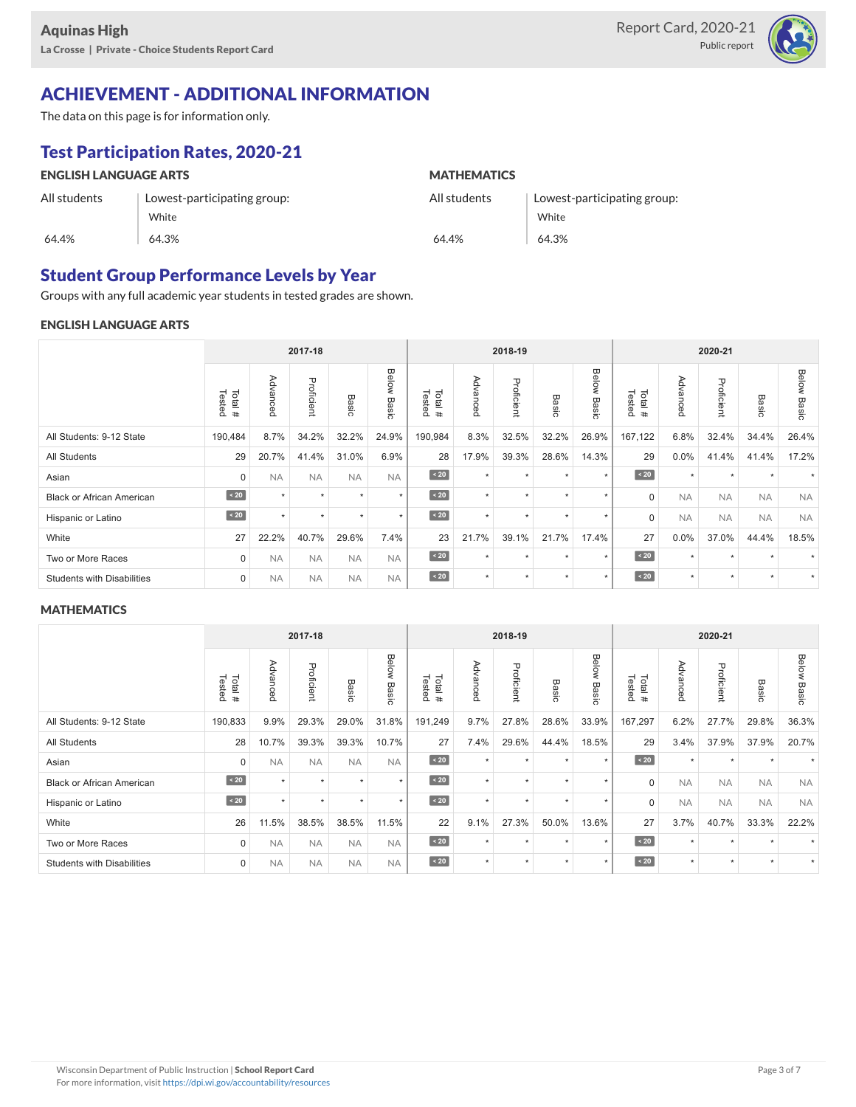

## ACHIEVEMENT - ADDITIONAL INFORMATION

The data on this page is for information only.

## Test Participation Rates, 2020-21

| <b>ENGLISH LANGUAGE ARTS</b> |                             | <b>MATHEMATICS</b> |                             |  |  |  |  |
|------------------------------|-----------------------------|--------------------|-----------------------------|--|--|--|--|
| All students                 | Lowest-participating group: | All students       | Lowest-participating group: |  |  |  |  |
|                              | White                       |                    | White                       |  |  |  |  |
| 64.4%                        | 64.3%                       | 64.4%              | 64.3%                       |  |  |  |  |

### Student Group Performance Levels by Year

Groups with any full academic year students in tested grades are shown.

#### ENGLISH LANGUAGE ARTS

|                                   |                  |           | 2017-18    |           |                              | 2018-19          |          |            |                 | 2020-21        |                  |                    |            |                 |                       |
|-----------------------------------|------------------|-----------|------------|-----------|------------------------------|------------------|----------|------------|-----------------|----------------|------------------|--------------------|------------|-----------------|-----------------------|
|                                   | Tested<br>Total# | Advanced  | Proficient | Basic     | <b>Below</b><br><b>Basic</b> | Tested<br>Total# | Advanced | Proficient | Basi<br>$\circ$ | Below<br>Basic | Tested<br>Total# | Advance<br>$\circ$ | Proficient | Basi<br>$\circ$ | <b>Below</b><br>Basic |
| All Students: 9-12 State          | 190,484          | 8.7%      | 34.2%      | 32.2%     | 24.9%                        | 190,984          | 8.3%     | 32.5%      | 32.2%           | 26.9%          | 167,122          | 6.8%               | 32.4%      | 34.4%           | 26.4%                 |
| All Students                      | 29               | 20.7%     | 41.4%      | 31.0%     | 6.9%                         | 28               | 17.9%    | 39.3%      | 28.6%           | 14.3%          | 29               | 0.0%               | 41.4%      | 41.4%           | 17.2%                 |
| Asian                             | $\mathbf 0$      | <b>NA</b> | <b>NA</b>  | <b>NA</b> | <b>NA</b>                    | $\sim 20$        | $\star$  | $\star$    | ٠               | $\star$        | $\sim 20$        | $\star$            | $\star$    |                 |                       |
| <b>Black or African American</b>  | $\angle 20$      | ÷         | $\star$    | $\star$   | $\star$                      | $\angle 20$      | $\star$  | $\star$    | ٠               | $\star$        | $\mathbf 0$      | <b>NA</b>          | <b>NA</b>  | <b>NA</b>       | <b>NA</b>             |
| Hispanic or Latino                | $\angle 20$      | ÷         | $\star$    | $\star$   | $\star$                      | $\angle 20$      | $\star$  | $\star$    | ٠               | $\star$        | $\mathbf 0$      | <b>NA</b>          | <b>NA</b>  | <b>NA</b>       | <b>NA</b>             |
| White                             | 27               | 22.2%     | 40.7%      | 29.6%     | 7.4%                         | 23               | 21.7%    | 39.1%      | 21.7%           | 17.4%          | 27               | 0.0%               | 37.0%      | 44.4%           | 18.5%                 |
| Two or More Races                 | $\mathbf 0$      | <b>NA</b> | <b>NA</b>  | <b>NA</b> | <b>NA</b>                    | $\angle 20$      | $\star$  | $\star$    |                 | ٠              | $\sim 20$        | $\star$            | ٠          |                 |                       |
| <b>Students with Disabilities</b> | $\mathbf 0$      | <b>NA</b> | <b>NA</b>  | <b>NA</b> | <b>NA</b>                    | $\sim 20$        | $\star$  | $\star$    | ٠               | $\star$        | $\angle 20$      | $\star$            | $\star$    | $\ddot{}$       | $\star$               |

#### **MATHEMATICS**

|                                   |                  |           | 2017-18    |           |                |                  | 2018-19  |            |              | 2020-21        |                  |                  |            |           |                |
|-----------------------------------|------------------|-----------|------------|-----------|----------------|------------------|----------|------------|--------------|----------------|------------------|------------------|------------|-----------|----------------|
|                                   | Tested<br>Total# | Advanced  | Proficient | Basic     | Below<br>Basic | Total#<br>Tested | Advanced | Proficient | <b>Basic</b> | Below<br>Basic | Tested<br>Total# | Adv<br>ance<br>Õ | Proficient | Basic     | Below<br>Basic |
| All Students: 9-12 State          | 190,833          | 9.9%      | 29.3%      | 29.0%     | 31.8%          | 191,249          | 9.7%     | 27.8%      | 28.6%        | 33.9%          | 167,297          | 6.2%             | 27.7%      | 29.8%     | 36.3%          |
| All Students                      | 28               | 10.7%     | 39.3%      | 39.3%     | 10.7%          | 27               | 7.4%     | 29.6%      | 44.4%        | 18.5%          | 29               | 3.4%             | 37.9%      | 37.9%     | 20.7%          |
| Asian                             | $\Omega$         | <b>NA</b> | <b>NA</b>  | <b>NA</b> | <b>NA</b>      | $\angle 20$      | $\star$  | $\star$    |              | ٠              | $\overline{20}$  | ٠                | ٠          |           |                |
| <b>Black or African American</b>  | $\sim 20$        | ÷         | $\star$    | ٠         | $\star$        | $\sim 20$        | $\star$  | $\star$    | ٠            | $\star$        | $\mathbf 0$      | <b>NA</b>        | <b>NA</b>  | <b>NA</b> | <b>NA</b>      |
| Hispanic or Latino                | $\angle 20$      | ÷         | $\star$    | ٠         | $\star$        | $\angle 20$      | $\star$  | $\star$    | ٠            | $\star$        | $\Omega$         | <b>NA</b>        | <b>NA</b>  | <b>NA</b> | <b>NA</b>      |
| White                             | 26               | 11.5%     | 38.5%      | 38.5%     | 11.5%          | 22               | 9.1%     | 27.3%      | 50.0%        | 13.6%          | 27               | 3.7%             | 40.7%      | 33.3%     | 22.2%          |
| Two or More Races                 | $\Omega$         | <b>NA</b> | <b>NA</b>  | <b>NA</b> | <b>NA</b>      | $\angle 20$      | $\star$  | $\star$    | ٠            | $\star$        | $\sim 20$        | $\star$          | $\star$    |           |                |
| <b>Students with Disabilities</b> | $\mathbf 0$      | <b>NA</b> | <b>NA</b>  | <b>NA</b> | <b>NA</b>      | $\sim 20$        | $\star$  | $\star$    | ٠            | $\star$        | $\overline{20}$  | $\star$          | $\star$    | $\star$   |                |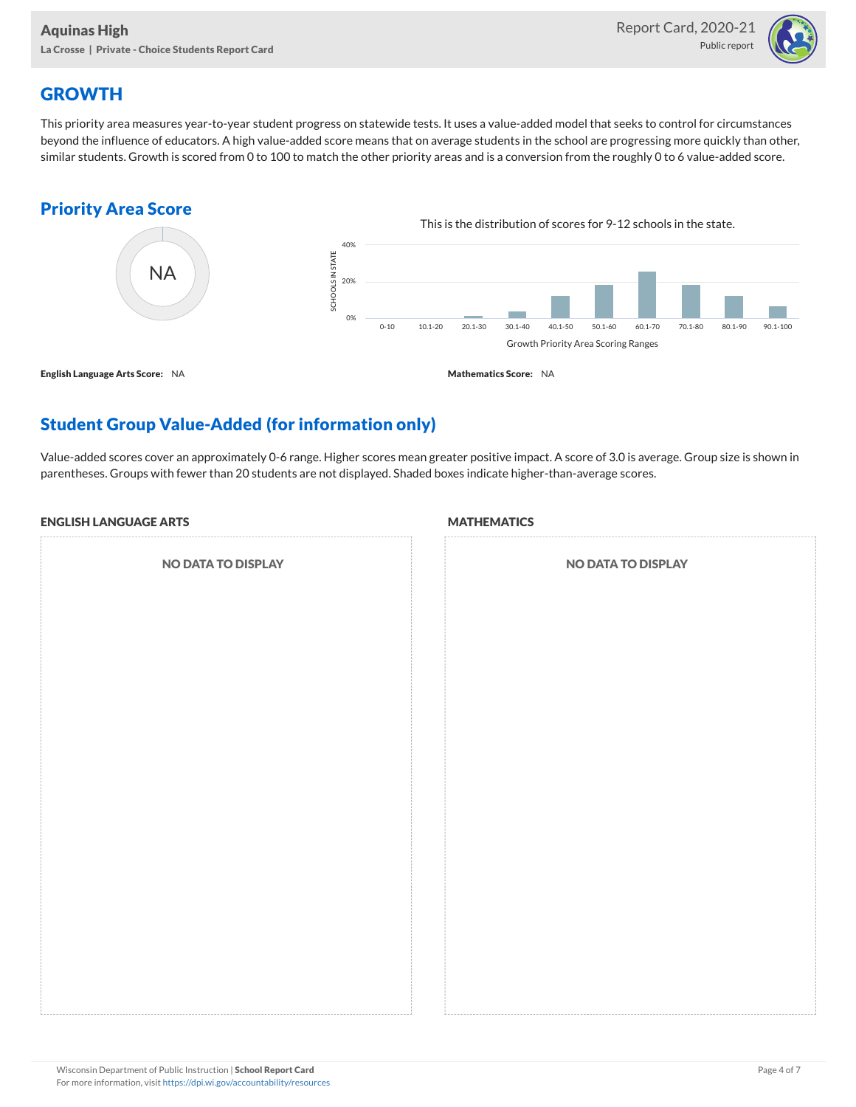

## **GROWTH**

This priority area measures year-to-year student progress on statewide tests. It uses a value-added model that seeks to control for circumstances beyond the influence of educators. A high value-added score means that on average students in the school are progressing more quickly than other, similar students. Growth is scored from 0 to 100 to match the other priority areas and is a conversion from the roughly 0 to 6 value-added score.

## Priority Area Score



## Student Group Value-Added (for information only)

Value-added scores cover an approximately 0-6 range. Higher scores mean greater positive impact. A score of 3.0 is average. Group size is shown in parentheses. Groups with fewer than 20 students are not displayed. Shaded boxes indicate higher-than-average scores.

#### ENGLISH LANGUAGE ARTS

NO DATA TO DISPLAY

#### **MATHEMATICS**

| <b>NO DATA TO DISPLAY</b> |  |  |  |  |  |  |  |  |
|---------------------------|--|--|--|--|--|--|--|--|
|                           |  |  |  |  |  |  |  |  |
|                           |  |  |  |  |  |  |  |  |
|                           |  |  |  |  |  |  |  |  |
|                           |  |  |  |  |  |  |  |  |
|                           |  |  |  |  |  |  |  |  |
|                           |  |  |  |  |  |  |  |  |
|                           |  |  |  |  |  |  |  |  |
|                           |  |  |  |  |  |  |  |  |
|                           |  |  |  |  |  |  |  |  |
|                           |  |  |  |  |  |  |  |  |
|                           |  |  |  |  |  |  |  |  |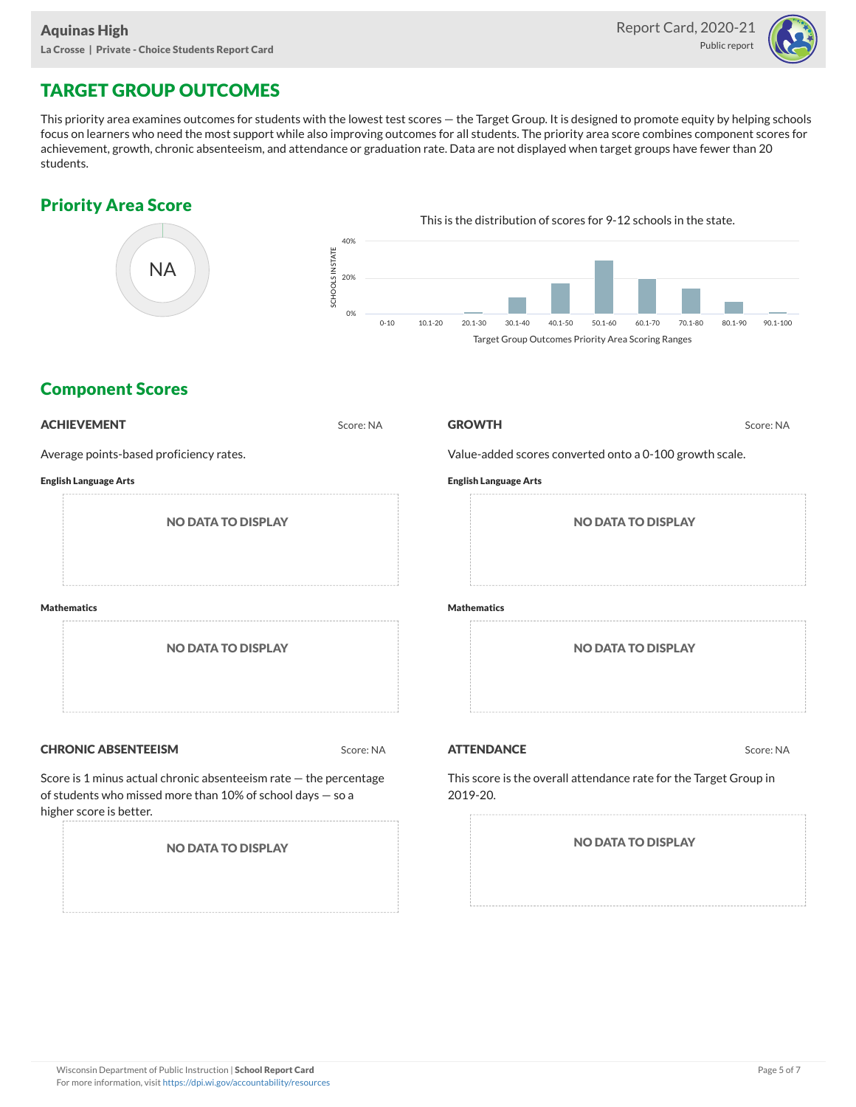

# TARGET GROUP OUTCOMES

This priority area examines outcomes for students with the lowest test scores — the Target Group. It is designed to promote equity by helping schools focus on learners who need the most support while also improving outcomes for all students. The priority area score combines component scores for achievement, growth, chronic absenteeism, and attendance or graduation rate. Data are not displayed when target groups have fewer than 20 students.

### Priority Area Score



### Component Scores

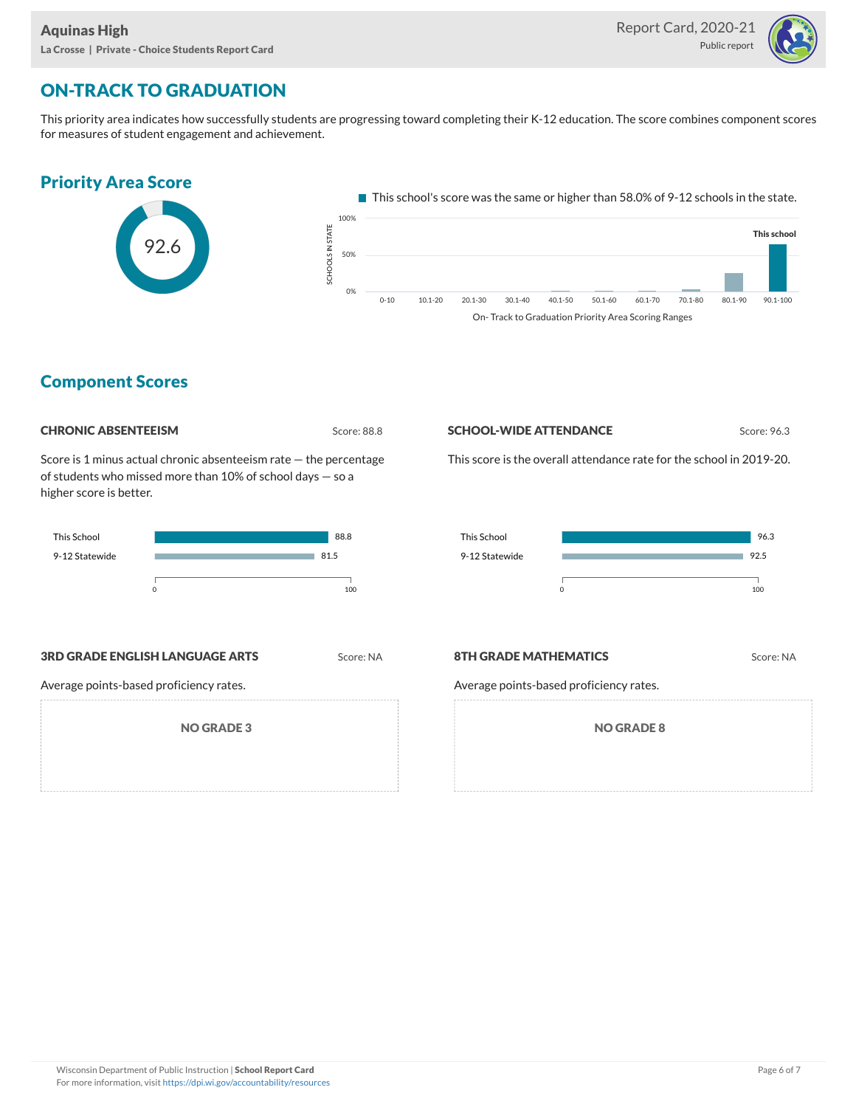

# ON-TRACK TO GRADUATION

This priority area indicates how successfully students are progressing toward completing their K-12 education. The score combines component scores for measures of student engagement and achievement.



### Component Scores